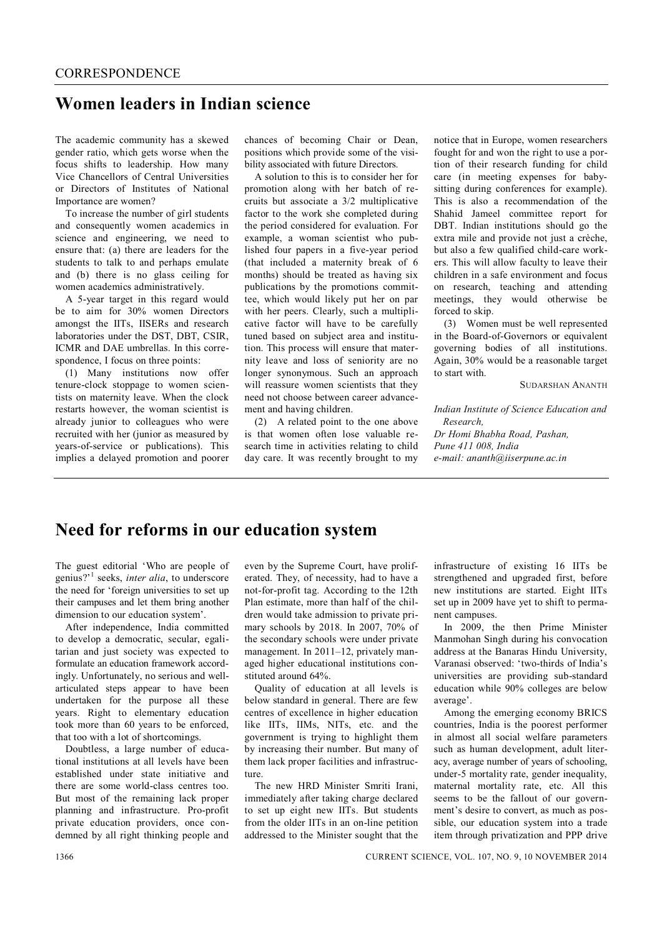## **Women leaders in Indian science**

The academic community has a skewed gender ratio, which gets worse when the focus shifts to leadership. How many Vice Chancellors of Central Universities or Directors of Institutes of National Importance are women?

To increase the number of girl students and consequently women academics in science and engineering, we need to ensure that: (a) there are leaders for the students to talk to and perhaps emulate and (b) there is no glass ceiling for women academics administratively.

A 5-year target in this regard would be to aim for 30% women Directors amongst the IITs, IISERs and research laboratories under the DST, DBT, CSIR, ICMR and DAE umbrellas. In this correspondence, I focus on three points:

(1) Many institutions now offer tenure-clock stoppage to women scientists on maternity leave. When the clock restarts however, the woman scientist is already junior to colleagues who were recruited with her (junior as measured by years-of-service or publications). This implies a delayed promotion and poorer chances of becoming Chair or Dean, positions which provide some of the visibility associated with future Directors.

A solution to this is to consider her for promotion along with her batch of recruits but associate a 3/2 multiplicative factor to the work she completed during the period considered for evaluation. For example, a woman scientist who published four papers in a five-year period (that included a maternity break of 6 months) should be treated as having six publications by the promotions committee, which would likely put her on par with her peers. Clearly, such a multiplicative factor will have to be carefully tuned based on subject area and institution. This process will ensure that maternity leave and loss of seniority are no longer synonymous. Such an approach will reassure women scientists that they need not choose between career advancement and having children.

(2) A related point to the one above is that women often lose valuable research time in activities relating to child day care. It was recently brought to my notice that in Europe, women researchers fought for and won the right to use a portion of their research funding for child care (in meeting expenses for babysitting during conferences for example). This is also a recommendation of the Shahid Jameel committee report for DBT. Indian institutions should go the extra mile and provide not just a crèche, but also a few qualified child-care workers. This will allow faculty to leave their children in a safe environment and focus on research, teaching and attending meetings, they would otherwise be forced to skip.

(3) Women must be well represented in the Board-of-Governors or equivalent governing bodies of all institutions. Again, 30% would be a reasonable target to start with.

SUDARSHAN ANANTH

*Indian Institute of Science Education and Research, Dr Homi Bhabha Road, Pashan,* 

*Pune 411 008, India e-mail: ananth@iiserpune.ac.in*

## **Need for reforms in our education system**

The guest editorial 'Who are people of genius?'<sup>1</sup> seeks, *inter alia*, to underscore the need for 'foreign universities to set up their campuses and let them bring another dimension to our education system'.

After independence, India committed to develop a democratic, secular, egalitarian and just society was expected to formulate an education framework accordingly. Unfortunately, no serious and wellarticulated steps appear to have been undertaken for the purpose all these years. Right to elementary education took more than 60 years to be enforced, that too with a lot of shortcomings.

Doubtless, a large number of educational institutions at all levels have been established under state initiative and there are some world-class centres too. But most of the remaining lack proper planning and infrastructure. Pro-profit private education providers, once condemned by all right thinking people and even by the Supreme Court, have proliferated. They, of necessity, had to have a not-for-profit tag. According to the 12th Plan estimate, more than half of the children would take admission to private primary schools by 2018. In 2007, 70% of the secondary schools were under private management. In 2011–12, privately managed higher educational institutions constituted around 64%.

Quality of education at all levels is below standard in general. There are few centres of excellence in higher education like IITs, IIMs, NITs, etc. and the government is trying to highlight them by increasing their number. But many of them lack proper facilities and infrastructure.

The new HRD Minister Smriti Irani, immediately after taking charge declared to set up eight new IITs. But students from the older IITs in an on-line petition addressed to the Minister sought that the infrastructure of existing 16 IITs be strengthened and upgraded first, before new institutions are started. Eight IITs set up in 2009 have yet to shift to permanent campuses.

In 2009, the then Prime Minister Manmohan Singh during his convocation address at the Banaras Hindu University, Varanasi observed: 'two-thirds of India's universities are providing sub-standard education while 90% colleges are below average'.

Among the emerging economy BRICS countries, India is the poorest performer in almost all social welfare parameters such as human development, adult literacy, average number of years of schooling, under-5 mortality rate, gender inequality, maternal mortality rate, etc. All this seems to be the fallout of our government's desire to convert, as much as possible, our education system into a trade item through privatization and PPP drive